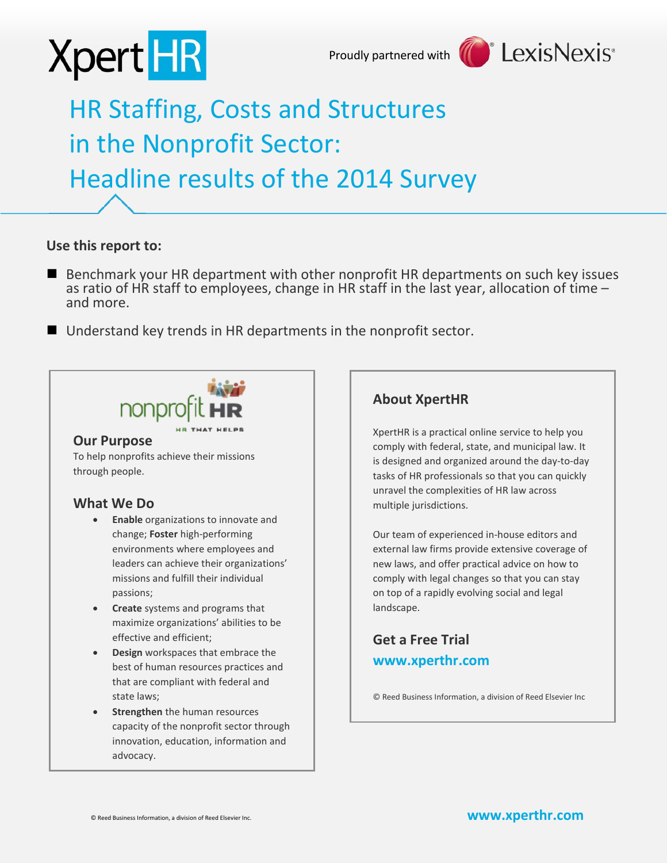



# HR Staffing, Costs and Structures in the Nonprofit Sector: Headline results of the 2014 Survey

## **Use this report to:**

- Benchmark your HR department with other nonprofit HR departments on such key issues as ratio of HR staff to employees, change in HR staff in the last year, allocation of time –<br>and more.
- Understand key trends in HR departments in the nonprofit sector.



### **Our Purpose**

To help nonprofits achieve their missions through people.

### **What We Do**

- **Enable** organizations to innovate and change; **Foster** high-performing environments where employees and leaders can achieve their organizations' missions and fulfill their individual passions;
- **Create** systems and programs that maximize organizations' abilities to be effective and efficient;
- **Design** workspaces that embrace the best of human resources practices and that are compliant with federal and state laws;
- **Strengthen** the human resources capacity of the nonprofit sector through innovation, education, information and advocacy.

# **About XpertHR**

XpertHR is a practical online service to help you comply with federal, state, and municipal law. It is designed and organized around the day-to-day tasks of HR professionals so that you can quickly unravel the complexities of HR law across multiple jurisdictions.

Our team of experienced in-house editors and external law firms provide extensive coverage of new laws, and offer practical advice on how to comply with legal changes so that you can stay on top of a rapidly evolving social and legal landscape.

# **Get a Free Trial [www.xperthr.com](http://www.xperthr.com/)**

© Reed Business Information, a division of Reed Elsevier Inc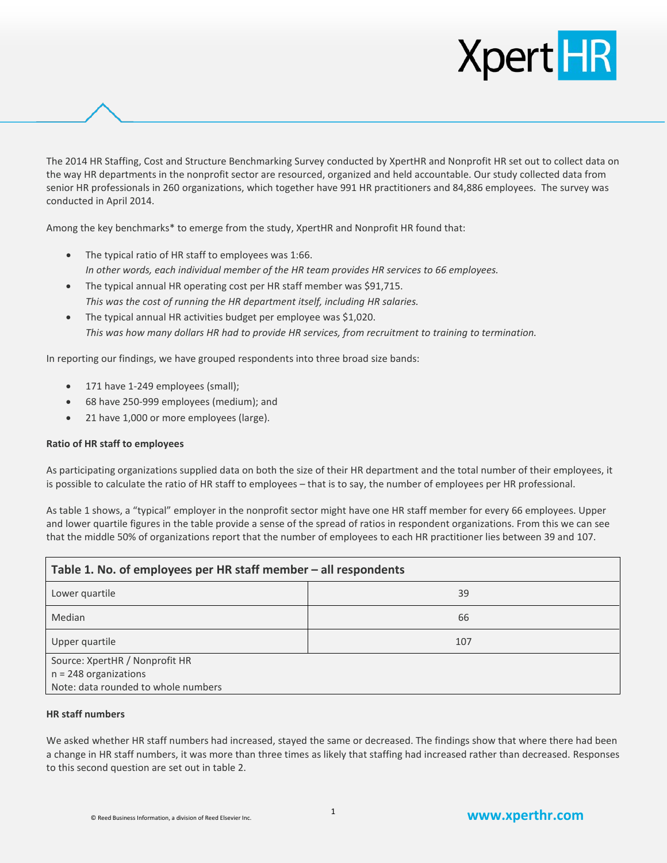

The 2014 HR Staffing, Cost and Structure Benchmarking Survey conducted by XpertHR and Nonprofit HR set out to collect data on the way HR departments in the nonprofit sector are resourced, organized and held accountable. Our study collected data from senior HR professionals in 260 organizations, which together have 991 HR practitioners and 84,886 employees. The survey was conducted in April 2014.

Among the key benchmarks\* to emerge from the study, XpertHR and Nonprofit HR found that:

- The typical ratio of HR staff to employees was 1:66. *In other words, each individual member of the HR team provides HR services to 66 employees.*
- The typical annual HR operating cost per HR staff member was \$91,715. *This was the cost of running the HR department itself, including HR salaries.*
- The typical annual HR activities budget per employee was \$1,020. *This was how many dollars HR had to provide HR services, from recruitment to training to termination.*

In reporting our findings, we have grouped respondents into three broad size bands:

- 171 have 1-249 employees (small);
- 68 have 250-999 employees (medium); and
- 21 have 1,000 or more employees (large).

#### **Ratio of HR staff to employees**

As participating organizations supplied data on both the size of their HR department and the total number of their employees, it is possible to calculate the ratio of HR staff to employees – that is to say, the number of employees per HR professional.

As table 1 shows, a "typical" employer in the nonprofit sector might have one HR staff member for every 66 employees. Upper and lower quartile figures in the table provide a sense of the spread of ratios in respondent organizations. From this we can see that the middle 50% of organizations report that the number of employees to each HR practitioner lies between 39 and 107.

| Table 1. No. of employees per HR staff member - all respondents |     |  |
|-----------------------------------------------------------------|-----|--|
| Lower quartile                                                  | 39  |  |
| Median                                                          | 66  |  |
| Upper quartile                                                  | 107 |  |
| Source: XpertHR / Nonprofit HR                                  |     |  |
| $n = 248$ organizations                                         |     |  |
| Note: data rounded to whole numbers                             |     |  |

#### **HR staff numbers**

We asked whether HR staff numbers had increased, stayed the same or decreased. The findings show that where there had been a change in HR staff numbers, it was more than three times as likely that staffing had increased rather than decreased. Responses to this second question are set out in table 2.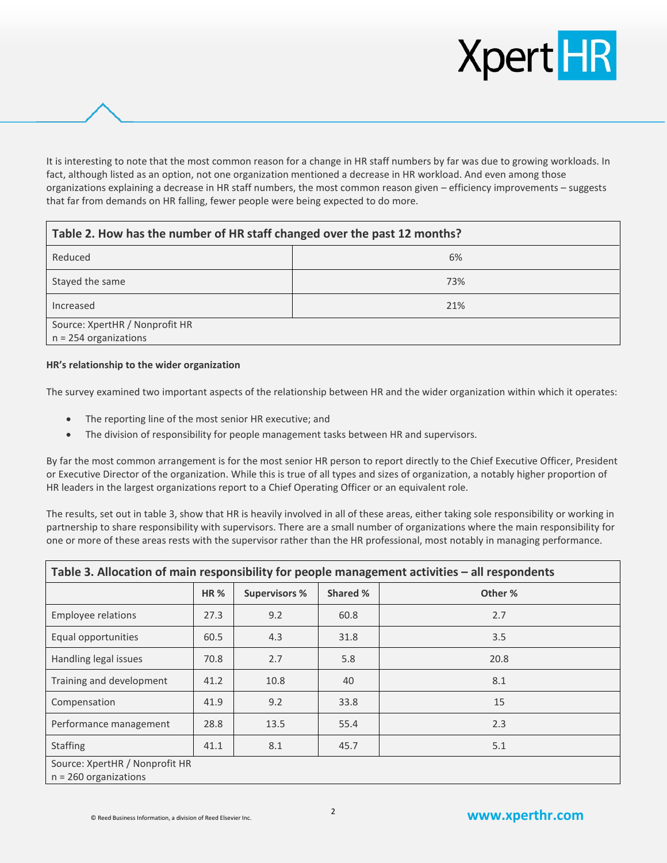

It is interesting to note that the most common reason for a change in HR staff numbers by far was due to growing workloads. In fact, although listed as an option, not one organization mentioned a decrease in HR workload. And even among those organizations explaining a decrease in HR staff numbers, the most common reason given – efficiency improvements – suggests that far from demands on HR falling, fewer people were being expected to do more.

| Table 2. How has the number of HR staff changed over the past 12 months? |     |  |
|--------------------------------------------------------------------------|-----|--|
| Reduced                                                                  | 6%  |  |
| Stayed the same                                                          | 73% |  |
| Increased                                                                | 21% |  |
| Source: XpertHR / Nonprofit HR                                           |     |  |
| $n = 254$ organizations                                                  |     |  |

#### **HR's relationship to the wider organization**

The survey examined two important aspects of the relationship between HR and the wider organization within which it operates:

- The reporting line of the most senior HR executive; and
- The division of responsibility for people management tasks between HR and supervisors.

By far the most common arrangement is for the most senior HR person to report directly to the Chief Executive Officer, President or Executive Director of the organization. While this is true of all types and sizes of organization, a notably higher proportion of HR leaders in the largest organizations report to a Chief Operating Officer or an equivalent role.

The results, set out in table 3, show that HR is heavily involved in all of these areas, either taking sole responsibility or working in partnership to share responsibility with supervisors. There are a small number of organizations where the main responsibility for one or more of these areas rests with the supervisor rather than the HR professional, most notably in managing performance.

| Table 3. Allocation of main responsibility for people management activities - all respondents |      |                      |          |         |
|-----------------------------------------------------------------------------------------------|------|----------------------|----------|---------|
|                                                                                               | HR%  | <b>Supervisors %</b> | Shared % | Other % |
| Employee relations                                                                            | 27.3 | 9.2                  | 60.8     | 2.7     |
| Equal opportunities                                                                           | 60.5 | 4.3                  | 31.8     | 3.5     |
| Handling legal issues                                                                         | 70.8 | 2.7                  | 5.8      | 20.8    |
| Training and development                                                                      | 41.2 | 10.8                 | 40       | 8.1     |
| Compensation                                                                                  | 41.9 | 9.2                  | 33.8     | 15      |
| Performance management                                                                        | 28.8 | 13.5                 | 55.4     | 2.3     |
| <b>Staffing</b>                                                                               | 41.1 | 8.1                  | 45.7     | 5.1     |
| Source: XpertHR / Nonprofit HR<br>$n = 260$ organizations                                     |      |                      |          |         |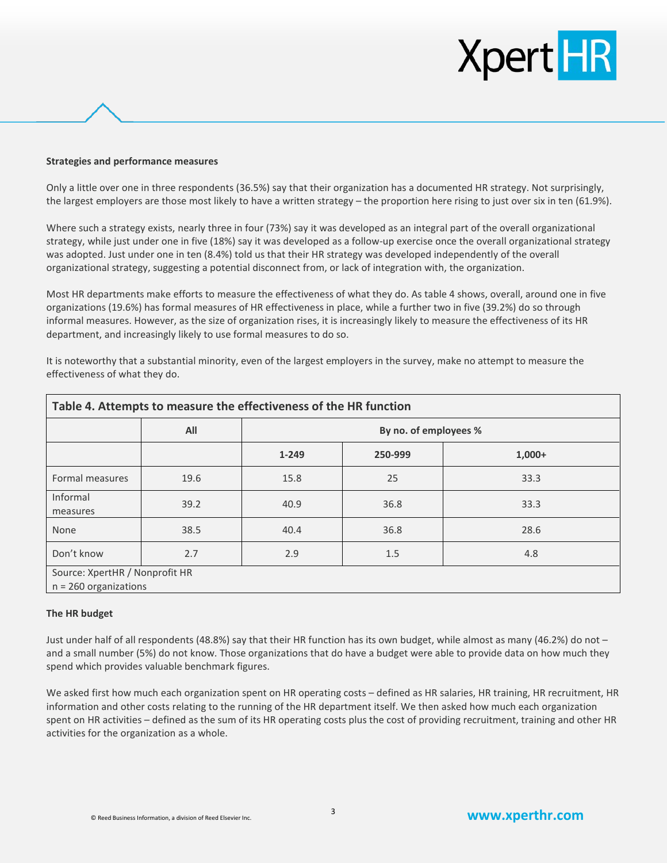# **Xpert HR**

#### **Strategies and performance measures**

Only a little over one in three respondents (36.5%) say that their organization has a documented HR strategy. Not surprisingly, the largest employers are those most likely to have a written strategy – the proportion here rising to just over six in ten (61.9%).

Where such a strategy exists, nearly three in four (73%) say it was developed as an integral part of the overall organizational strategy, while just under one in five (18%) say it was developed as a follow-up exercise once the overall organizational strategy was adopted. Just under one in ten (8.4%) told us that their HR strategy was developed independently of the overall organizational strategy, suggesting a potential disconnect from, or lack of integration with, the organization.

Most HR departments make efforts to measure the effectiveness of what they do. As table 4 shows, overall, around one in five organizations (19.6%) has formal measures of HR effectiveness in place, while a further two in five (39.2%) do so through informal measures. However, as the size of organization rises, it is increasingly likely to measure the effectiveness of its HR department, and increasingly likely to use formal measures to do so.

It is noteworthy that a substantial minority, even of the largest employers in the survey, make no attempt to measure the effectiveness of what they do.

| Table 4. Attempts to measure the effectiveness of the HR function |      |                       |         |          |
|-------------------------------------------------------------------|------|-----------------------|---------|----------|
|                                                                   | All  | By no. of employees % |         |          |
|                                                                   |      | $1 - 249$             | 250-999 | $1,000+$ |
| Formal measures                                                   | 19.6 | 15.8                  | 25      | 33.3     |
| Informal<br>measures                                              | 39.2 | 40.9                  | 36.8    | 33.3     |
| None                                                              | 38.5 | 40.4                  | 36.8    | 28.6     |
| Don't know                                                        | 2.7  | 2.9                   | 1.5     | 4.8      |
| Source: XpertHR / Nonprofit HR<br>$n = 260$ organizations         |      |                       |         |          |

#### **The HR budget**

Just under half of all respondents (48.8%) say that their HR function has its own budget, while almost as many (46.2%) do not – and a small number (5%) do not know. Those organizations that do have a budget were able to provide data on how much they spend which provides valuable benchmark figures.

We asked first how much each organization spent on HR operating costs – defined as HR salaries, HR training, HR recruitment, HR information and other costs relating to the running of the HR department itself. We then asked how much each organization spent on HR activities – defined as the sum of its HR operating costs plus the cost of providing recruitment, training and other HR activities for the organization as a whole.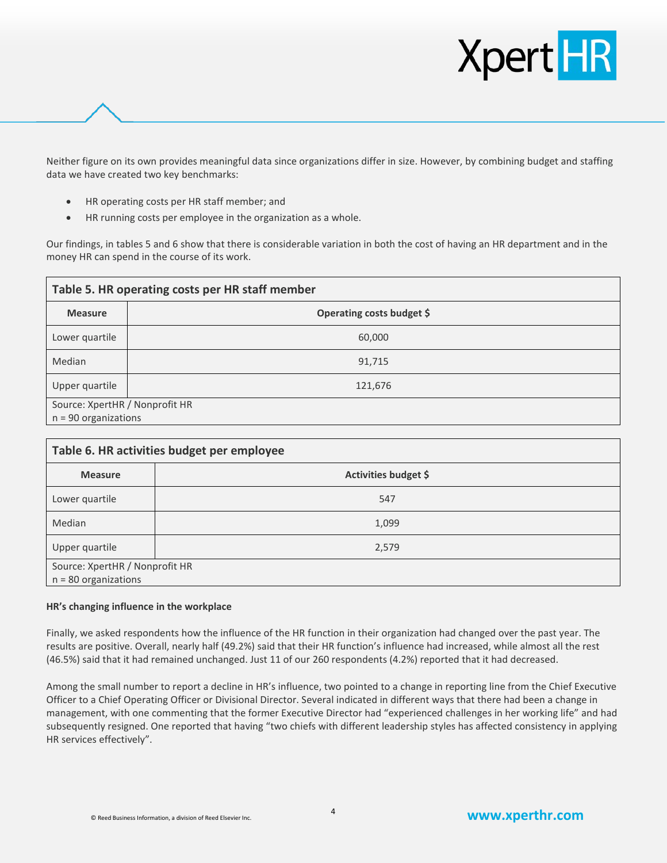

Neither figure on its own provides meaningful data since organizations differ in size. However, by combining budget and staffing data we have created two key benchmarks:

- HR operating costs per HR staff member; and
- HR running costs per employee in the organization as a whole.

Our findings, in tables 5 and 6 show that there is considerable variation in both the cost of having an HR department and in the money HR can spend in the course of its work.

| Table 5. HR operating costs per HR staff member |                           |
|-------------------------------------------------|---------------------------|
| <b>Measure</b>                                  | Operating costs budget \$ |
| Lower quartile                                  | 60,000                    |
| Median                                          | 91,715                    |
| Upper quartile                                  | 121,676                   |
| Source: XpertHR / Nonprofit HR                  |                           |
| $n = 90$ organizations                          |                           |

| Table 6. HR activities budget per employee               |                      |  |
|----------------------------------------------------------|----------------------|--|
| <b>Measure</b>                                           | Activities budget \$ |  |
| Lower quartile                                           | 547                  |  |
| Median                                                   | 1,099                |  |
| Upper quartile                                           | 2,579                |  |
| Source: XpertHR / Nonprofit HR<br>$n = 80$ organizations |                      |  |

#### **HR's changing influence in the workplace**

Finally, we asked respondents how the influence of the HR function in their organization had changed over the past year. The results are positive. Overall, nearly half (49.2%) said that their HR function's influence had increased, while almost all the rest (46.5%) said that it had remained unchanged. Just 11 of our 260 respondents (4.2%) reported that it had decreased.

Among the small number to report a decline in HR's influence, two pointed to a change in reporting line from the Chief Executive Officer to a Chief Operating Officer or Divisional Director. Several indicated in different ways that there had been a change in management, with one commenting that the former Executive Director had "experienced challenges in her working life" and had subsequently resigned. One reported that having "two chiefs with different leadership styles has affected consistency in applying HR services effectively".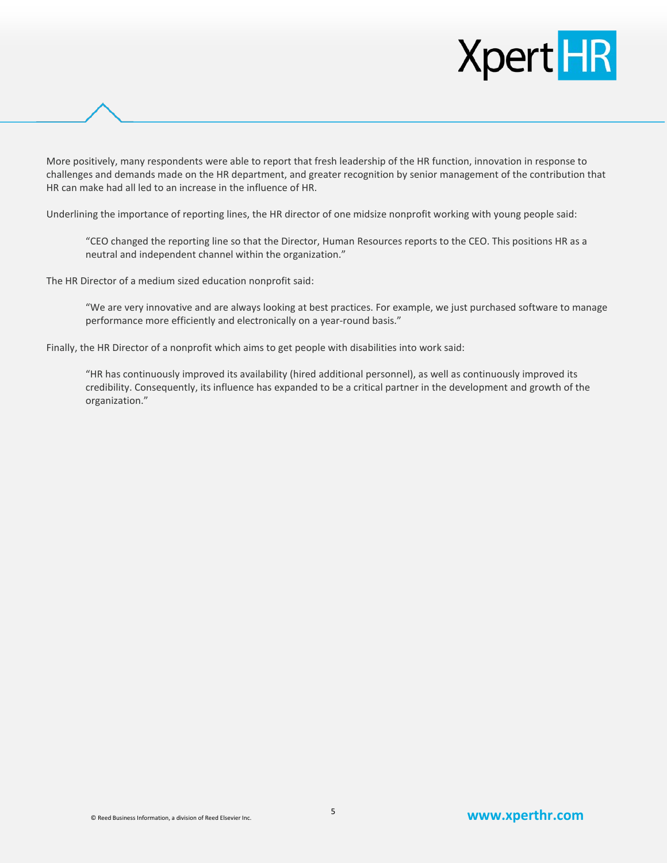# **Xpert HR**

More positively, many respondents were able to report that fresh leadership of the HR function, innovation in response to challenges and demands made on the HR department, and greater recognition by senior management of the contribution that HR can make had all led to an increase in the influence of HR.

Underlining the importance of reporting lines, the HR director of one midsize nonprofit working with young people said:

"CEO changed the reporting line so that the Director, Human Resources reports to the CEO. This positions HR as a neutral and independent channel within the organization."

The HR Director of a medium sized education nonprofit said:

"We are very innovative and are always looking at best practices. For example, we just purchased software to manage performance more efficiently and electronically on a year-round basis."

Finally, the HR Director of a nonprofit which aims to get people with disabilities into work said:

"HR has continuously improved its availability (hired additional personnel), as well as continuously improved its credibility. Consequently, its influence has expanded to be a critical partner in the development and growth of the organization."